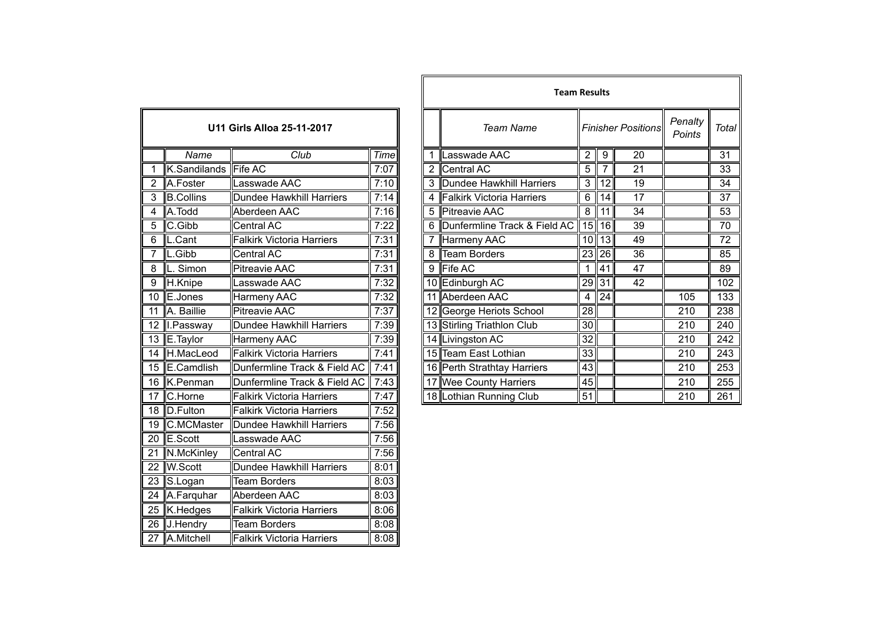| U11 Girls Alloa 25-11-2017 |                  |                                  |      |  |  |  |  |
|----------------------------|------------------|----------------------------------|------|--|--|--|--|
|                            | Name             | $\overline{C}$ lub               |      |  |  |  |  |
| 1                          | K.Sandilands     | <b>Fife AC</b>                   | 7:07 |  |  |  |  |
| $\overline{c}$             | A.Foster         | Lasswade AAC                     | 7:10 |  |  |  |  |
| 3                          | <b>B.Collins</b> | Dundee Hawkhill Harriers         | 7:14 |  |  |  |  |
| 4                          | A.Todd           | Aberdeen AAC                     | 7:16 |  |  |  |  |
| 5                          | C.Gibb           | <b>Central AC</b>                | 7:22 |  |  |  |  |
| 6                          | L.Cant           | <b>Falkirk Victoria Harriers</b> | 7:31 |  |  |  |  |
| 7                          | L.Gibb           | <b>Central AC</b>                | 7:31 |  |  |  |  |
| 8                          | L. Simon         | <b>Pitreavie AAC</b>             | 7:31 |  |  |  |  |
| 9                          | H.Knipe          | Lasswade AAC                     | 7:32 |  |  |  |  |
| 10                         | E.Jones          | Harmeny AAC                      | 7:32 |  |  |  |  |
| 11                         | A. Baillie       | <b>Pitreavie AAC</b>             | 7:37 |  |  |  |  |
| 12                         | I.Passway        | <b>Dundee Hawkhill Harriers</b>  | 7:39 |  |  |  |  |
| $\overline{13}$            | E.Taylor         | Harmeny AAC                      | 7:39 |  |  |  |  |
| $\overline{14}$            | H.MacLeod        | <b>Falkirk Victoria Harriers</b> | 7:41 |  |  |  |  |
| $1\overline{5}$            | E.Camdlish       | Dunfermline Track & Field AC     | 7:41 |  |  |  |  |
| 16                         | K.Penman         | Dunfermline Track & Field AC     | 7:43 |  |  |  |  |
| 17                         | C.Horne          | <b>Falkirk Victoria Harriers</b> | 7:47 |  |  |  |  |
| 18                         | D.Fulton         | <b>Falkirk Victoria Harriers</b> | 7:52 |  |  |  |  |
| 19                         | C.MCMaster       | Dundee Hawkhill Harriers         | 7:56 |  |  |  |  |
| $\overline{20}$            | E.Scott          | Lasswade AAC                     | 7:56 |  |  |  |  |
| 21                         | N.McKinley       | <b>Central AC</b>                | 7:56 |  |  |  |  |
| 22                         | <b>W.Scott</b>   | Dundee Hawkhill Harriers         | 8:01 |  |  |  |  |
| $\overline{23}$            | S.Logan          | <b>Team Borders</b>              | 8:03 |  |  |  |  |
| 24                         | A.Farquhar       | Aberdeen AAC                     | 8:03 |  |  |  |  |
| 25                         | K.Hedges         | <b>Falkirk Victoria Harriers</b> | 8:06 |  |  |  |  |
| 26                         | J.Hendry         | <b>Team Borders</b>              | 8:08 |  |  |  |  |
| 27                         | A.Mitchell       | <b>Falkirk Victoria Harriers</b> | 8:08 |  |  |  |  |

|                            |                    |                                  |                |   | <b>Team Results</b>                           |                 |                 |                   |              |     |
|----------------------------|--------------------|----------------------------------|----------------|---|-----------------------------------------------|-----------------|-----------------|-------------------|--------------|-----|
| U11 Girls Alloa 25-11-2017 |                    |                                  |                |   | <b>Team Name</b><br><b>Finisher Positions</b> |                 |                 | Penalty<br>Points | <b>Total</b> |     |
|                            | Name               | Club                             | Time           |   | Lasswade AAC                                  | 2               | 9               | 20                |              | 31  |
| $\mathbf{1}$               | K.Sandilands       | <b>Fife AC</b>                   | 7:07           |   | Central AC                                    | 5               |                 | 21                |              | 33  |
| $\overline{2}$             | A.Foster           | Lasswade AAC                     | 7:10           |   | 3 Dundee Hawkhill Harriers                    | 3               | 12 <sub>l</sub> | 19                |              | 34  |
| 3                          | <b>B.Collins</b>   | Dundee Hawkhill Harriers         | 7:14           |   | Falkirk Victoria Harriers                     | 6               | 14              | 17                |              | 37  |
| 4                          | A.Todd             | Aberdeen AAC                     | 7:16           |   | <b>Pitreavie AAC</b>                          | 8               | 11              | 34                |              | 53  |
| $\overline{5}$             | C.Gibb             | Central AC                       | 7:22           |   | Dunfermline Track & Field AC                  |                 | $15$   16       | $\overline{39}$   |              | 70  |
| 6                          | $\mathsf{L}$ .Cant | <b>Falkirk Victoria Harriers</b> | 7:31           |   | Harmeny AAC                                   |                 | $10$   $13$     | 49                |              | 72  |
| 7                          | L.Gibb             | Central AC                       | 7:31           | 8 | <b>Team Borders</b>                           |                 | $23$  26        | 36                |              | 85  |
| 8                          | L. Simon           | <b>Pitreavie AAC</b>             | 7:31           | 9 | Fife AC                                       |                 | 41              | $\overline{47}$   |              | 89  |
| $\overline{9}$             | H.Knipe            | asswade AAC                      | 7:32           |   | 10 Edinburgh AC                               | 29 31           |                 | 42                |              | 102 |
|                            | 10 E.Jones         | Harmeny AAC                      | 7:32           |   | 11 Aberdeen AAC                               | 4               | 24              |                   | 105          | 133 |
|                            | 11 A. Baillie      | <b>Pitreavie AAC</b>             | 7:37           |   | 12 George Heriots School                      | 28              |                 |                   | 210          | 238 |
|                            | 12 I.Passway       | Dundee Hawkhill Harriers         | 7:39           |   | 13 Stirling Triathlon Club                    | 30 <sup>1</sup> |                 |                   | 210          | 240 |
|                            | 13 E.Taylor        | Harmeny AAC                      | 7:39           |   | 14 Livingston AC                              | 32              |                 |                   | 210          | 242 |
|                            | 14 H.MacLeod       | <b>Falkirk Victoria Harriers</b> | 7:41           |   | 15 Team East Lothian                          | 33              |                 |                   | 210          | 243 |
|                            | 15 E.Camdlish      | Dunfermline Track & Field AC     | 7:41           |   | 16 Perth Strathtay Harriers                   | 43              |                 |                   | 210          | 253 |
|                            | 16 K.Penman        | Dunfermline Track & Field AC     | 7:43           |   | 17 Wee County Harriers                        | 45              |                 |                   | 210          | 255 |
|                            | 17 C.Horne         | <b>Falkirk Victoria Harriers</b> | 7:47           |   | 18 Lothian Running Club                       | 51              |                 |                   | 210          | 261 |
|                            | $\sqrt{2}$         | In a common common               | $\overline{1}$ |   |                                               |                 |                 |                   |              |     |